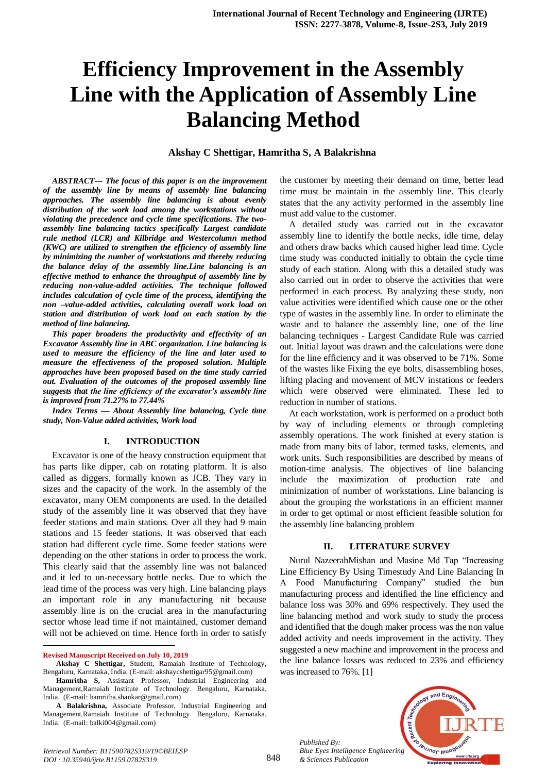# **Efficiency Improvement in the Assembly Line with the Application of Assembly Line Balancing Method**

#### **Akshay C Shettigar, Hamritha S, A Balakrishna**

*ABSTRACT--- The focus of this paper is on the improvement of the assembly line by means of assembly line balancing approaches. The assembly line balancing is about evenly distribution of the work load among the workstations without violating the precedence and cycle time specifications. The twoassembly line balancing tactics specifically Largest candidate rule method (LCR) and Kilbridge and Westercolumn method (KWC) are utilized to strengthen the efficiency of assembly line by minimizing the number of workstations and thereby reducing the balance delay of the assembly line.Line balancing is an effective method to enhance the throughput of assembly line by reducing non-value-added activities. The technique followed includes calculation of cycle time of the process, identifying the non –value-added activities, calculating overall work load on station and distribution of work load on each station by the method of line balancing.*

*This paper broadens the productivity and effectivity of an Excavator Assembly line in ABC organization. Line balancing is used to measure the efficiency of the line and later used to measure the effectiveness of the proposed solution. Multiple approaches have been proposed based on the time study carried out. Evaluation of the outcomes of the proposed assembly line suggests that the line efficiency of the excavator's assembly line is improved from 71.27% to 77.44%*

*Index Terms — About Assembly line balancing, Cycle time study, Non-Value added activities, Work load*

#### **I. INTRODUCTION**

Excavator is one of the heavy construction equipment that has parts like dipper, cab on rotating platform. It is also called as diggers, formally known as JCB. They vary in sizes and the capacity of the work. In the assembly of the excavator, many OEM components are used. In the detailed study of the assembly line it was observed that they have feeder stations and main stations. Over all they had 9 main stations and 15 feeder stations. It was observed that each station had different cycle time. Some feeder stations were depending on the other stations in order to process the work. This clearly said that the assembly line was not balanced and it led to un-necessary bottle necks. Due to which the lead time of the process was very high. Line balancing plays an important role in any manufacturing nit because assembly line is on the crucial area in the manufacturing sector whose lead time if not maintained, customer demand will not be achieved on time. Hence forth in order to satisfy

1

the customer by meeting their demand on time, better lead time must be maintain in the assembly line. This clearly states that the any activity performed in the assembly line must add value to the customer.

A detailed study was carried out in the excavator assembly line to identify the bottle necks, idle time, delay and others draw backs which caused higher lead time. Cycle time study was conducted initially to obtain the cycle time study of each station. Along with this a detailed study was also carried out in order to observe the activities that were performed in each process. By analyzing these study, non value activities were identified which cause one or the other type of wastes in the assembly line. In order to eliminate the waste and to balance the assembly line, one of the line balancing techniques - Largest Candidate Rule was carried out. Initial layout was drawn and the calculations were done for the line efficiency and it was observed to be 71%. Some of the wastes like Fixing the eye bolts, disassembling hoses, lifting placing and movement of MCV instations or feeders which were observed were eliminated. These led to reduction in number of stations.

At each workstation, work is performed on a product both by way of including elements or through completing assembly operations. The work finished at every station is made from many bits of labor, termed tasks, elements, and work units. Such responsibilities are described by means of motion-time analysis. The objectives of line balancing include the maximization of production rate and minimization of number of workstations. Line balancing is about the grouping the workstations in an efficient manner in order to get optimal or most efficient feasible solution for the assembly line balancing problem

#### **II. LITERATURE SURVEY**

Nurul NazeerahMishan and Masine Md Tap "Increasing Line Efficiency By Using Timestudy And Line Balancing In A Food Manufacturing Company" studied the bun manufacturing process and identified the line efficiency and balance loss was 30% and 69% respectively. They used the line balancing method and work study to study the process and identified that the dough maker process was the non value added activity and needs improvement in the activity. They suggested a new machine and improvement in the process and the line balance losses was reduced to 23% and efficiency was increased to 76%. [1]

*Published By: Blue Eyes Intelligence Engineering & Sciences Publication* 



**Revised Manuscript Received on July 10, 2019**

**Akshay C Shettigar,** Student, Ramaiah Institute of Technology, Bengaluru, Karnataka, India. (E-mail: akshaycshettigar95@gmail.com)

**Hamritha S,** Assistant Professor, Industrial Engineering and Management,Ramaiah Institute of Technology. Bengaluru, Karnataka, India. (E-mail: hamritha.shankar@gmail.com)

**A Balakrishna,** Associate Professor, Industrial Engineering and Management,Ramaiah Institute of Technology. Bengaluru, Karnataka, India. (E-mail: balki004@gmail.com)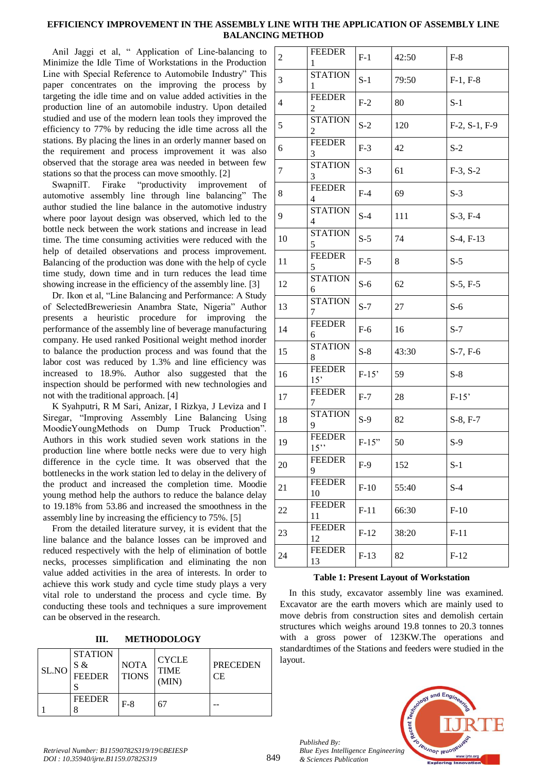## **EFFICIENCY IMPROVEMENT IN THE ASSEMBLY LINE WITH THE APPLICATION OF ASSEMBLY LINE BALANCING METHOD**

Anil Jaggi et al, " Application of Line-balancing to Minimize the Idle Time of Workstations in the Production Line with Special Reference to Automobile Industry" This paper concentrates on the improving the process by targeting the idle time and on value added activities in the production line of an automobile industry. Upon detailed studied and use of the modern lean tools they improved the efficiency to 77% by reducing the idle time across all the stations. By placing the lines in an orderly manner based on the requirement and process improvement it was also observed that the storage area was needed in between few stations so that the process can move smoothly. [2]

SwapnilT. Firake "productivity improvement of automotive assembly line through line balancing" The author studied the line balance in the automotive industry where poor layout design was observed, which led to the bottle neck between the work stations and increase in lead time. The time consuming activities were reduced with the help of detailed observations and process improvement. Balancing of the production was done with the help of cycle time study, down time and in turn reduces the lead time showing increase in the efficiency of the assembly line. [3]

Dr. Ikon et al, "Line Balancing and Performance: A Study of SelectedBreweriesin Anambra State, Nigeria" Author presents a heuristic procedure for improving the performance of the assembly line of beverage manufacturing company. He used ranked Positional weight method inorder to balance the production process and was found that the labor cost was reduced by 1.3% and line efficiency was increased to 18.9%. Author also suggested that the inspection should be performed with new technologies and not with the traditional approach. [4]

K Syahputri, R M Sari, Anizar, I Rizkya, J Leviza and I Siregar, "Improving Assembly Line Balancing Using MoodieYoungMethods on Dump Truck Production". Authors in this work studied seven work stations in the production line where bottle necks were due to very high difference in the cycle time. It was observed that the bottlenecks in the work station led to delay in the delivery of the product and increased the completion time. Moodie young method help the authors to reduce the balance delay to 19.18% from 53.86 and increased the smoothness in the assembly line by increasing the efficiency to 75%. [5]

From the detailed literature survey, it is evident that the line balance and the balance losses can be improved and reduced respectively with the help of elimination of bottle necks, processes simplification and eliminating the non value added activities in the area of interests. In order to achieve this work study and cycle time study plays a very vital role to understand the process and cycle time. By conducting these tools and techniques a sure improvement can be observed in the research.

**III. METHODOLOGY**

| SL.NO | <b>STATION</b><br>S &<br><b>FEEDER</b> | <b>NOTA</b><br><b>TIONS</b> | <b>CYCLE</b><br><b>TIME</b><br>(MIN) | <b>PRECEDEN</b><br>СE |
|-------|----------------------------------------|-----------------------------|--------------------------------------|-----------------------|
|       | <b>FEEDER</b>                          | $F-8$                       | 67                                   |                       |

| $\overline{c}$ | <b>FEEDER</b><br>1              | $F-1$   | 42:50  | $F-8$                 |
|----------------|---------------------------------|---------|--------|-----------------------|
| 3              | <b>STATION</b><br>1             | $S-1$   | 79:50  | $F-1, F-8$            |
| $\overline{4}$ | <b>FEEDER</b><br>2              | $F-2$   | 80     | $S-1$                 |
| 5              | <b>STATION</b><br>2             | $S-2$   | 120    | $F-2$ , $S-1$ , $F-9$ |
| 6              | <b>FEEDER</b><br>3              | $F-3$   | 42     | $S-2$                 |
| 7              | <b>STATION</b><br>3             | $S-3$   | 61     | $F-3, S-2$            |
| 8              | <b>FEEDER</b><br>4              | $F-4$   | 69     | $S-3$                 |
| 9              | <b>STATION</b><br>4             | $S-4$   | 111    | $S-3, F-4$            |
| 10             | <b>STATION</b><br>5             | $S-5$   | 74     | $S-4, F-13$           |
| 11             | <b>FEEDER</b><br>5              | $F-5$   | 8      | $S-5$                 |
| 12             | <b>STATION</b><br>6             | $S-6$   | 62     | $S-5, F-5$            |
| 13             | <b>STATION</b><br>7             | $S-7$   | $27\,$ | $S-6$                 |
| 14             | <b>FEEDER</b><br>6              | $F-6$   | 16     | $S-7$                 |
| 15             | <b>STATION</b><br>8             | $S-8$   | 43:30  | $S-7, F-6$            |
| 16             | <b>FEEDER</b><br>15'            | $F-15'$ | 59     | $S-8$                 |
| 17             | <b>FEEDER</b><br>$\overline{7}$ | $F-7$   | 28     | $F-15'$               |
| 18             | <b>STATION</b><br>9             | $S-9$   | 82     | S-8, F-7              |
| 19             | <b>FEEDER</b><br>$15$ "         | $F-15"$ | 50     | $S-9$                 |
| 20             | <b>FEEDER</b><br>9              | $F-9$   | 152    | $S-1$                 |
| 21             | <b>FEEDER</b><br>10             | $F-10$  | 55:40  | $S-4$                 |
| 22             | <b>FEEDER</b><br>11             | $F-11$  | 66:30  | $F-10$                |
| 23             | <b>FEEDER</b><br>12             | $F-12$  | 38:20  | $F-11$                |
| 24             | <b>FEEDER</b><br>13             | $F-13$  | 82     | $F-12$                |

## **Table 1: Present Layout of Workstation**

In this study, excavator assembly line was examined. Excavator are the earth movers which are mainly used to move debris from construction sites and demolish certain structures which weighs around 19.8 tonnes to 20.3 tonnes with a gross power of 123KW.The operations and standardtimes of the Stations and feeders were studied in the layout.



*Published By:*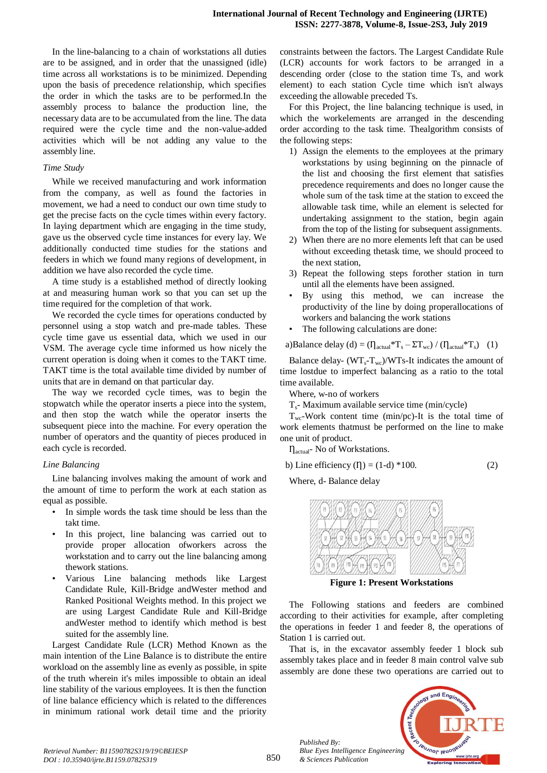In the line-balancing to a chain of workstations all duties are to be assigned, and in order that the unassigned (idle) time across all workstations is to be minimized. Depending upon the basis of precedence relationship, which specifies the order in which the tasks are to be performed.In the assembly process to balance the production line, the necessary data are to be accumulated from the line. The data required were the cycle time and the non-value-added activities which will be not adding any value to the assembly line.

#### *Time Study*

While we received manufacturing and work information from the company, as well as found the factories in movement, we had a need to conduct our own time study to get the precise facts on the cycle times within every factory. In laying department which are engaging in the time study, gave us the observed cycle time instances for every lay. We additionally conducted time studies for the stations and feeders in which we found many regions of development, in addition we have also recorded the cycle time.

A time study is a established method of directly looking at and measuring human work so that you can set up the time required for the completion of that work.

We recorded the cycle times for operations conducted by personnel using a stop watch and pre-made tables. These cycle time gave us essential data, which we used in our VSM. The average cycle time informed us how nicely the current operation is doing when it comes to the TAKT time. TAKT time is the total available time divided by number of units that are in demand on that particular day.

The way we recorded cycle times, was to begin the stopwatch while the operator inserts a piece into the system, and then stop the watch while the operator inserts the subsequent piece into the machine. For every operation the number of operators and the quantity of pieces produced in each cycle is recorded.

#### *Line Balancing*

Line balancing involves making the amount of work and the amount of time to perform the work at each station as equal as possible.

- In simple words the task time should be less than the takt time.
- In this project, line balancing was carried out to provide proper allocation ofworkers across the workstation and to carry out the line balancing among thework stations.
- Various Line balancing methods like Largest Candidate Rule, Kill-Bridge andWester method and Ranked Positional Weights method. In this project we are using Largest Candidate Rule and Kill-Bridge andWester method to identify which method is best suited for the assembly line.

Largest Candidate Rule (LCR) Method Known as the main intention of the Line Balance is to distribute the entire workload on the assembly line as evenly as possible, in spite of the truth wherein it's miles impossible to obtain an ideal line stability of the various employees. It is then the function of line balance efficiency which is related to the differences in minimum rational work detail time and the priority constraints between the factors. The Largest Candidate Rule (LCR) accounts for work factors to be arranged in a descending order (close to the station time Ts, and work element) to each station Cycle time which isn't always exceeding the allowable preceded Ts.

For this Project, the line balancing technique is used, in which the workelements are arranged in the descending order according to the task time. Thealgorithm consists of the following steps:

- 1) Assign the elements to the employees at the primary workstations by using beginning on the pinnacle of the list and choosing the first element that satisfies precedence requirements and does no longer cause the whole sum of the task time at the station to exceed the allowable task time, while an element is selected for undertaking assignment to the station, begin again from the top of the listing for subsequent assignments.
- 2) When there are no more elements left that can be used without exceeding thetask time, we should proceed to the next station,
- 3) Repeat the following steps forother station in turn until all the elements have been assigned.
- By using this method, we can increase the productivity of the line by doing properallocations of workers and balancing the work stations
- The following calculations are done:

a)Balance delay (d) =  $(\eta_{\text{actual}} * T_s - \Sigma T_{wc}) / (\eta_{\text{actual}} * T_s)$  (1)

Balance delay-  $(WT_s-T_{wc})/WTs$ -It indicates the amount of time lostdue to imperfect balancing as a ratio to the total time available.

Where, w-no of workers

Ts- Maximum available service time (min/cycle)

 $T_{wc}$ -Work content time (min/pc)-It is the total time of work elements thatmust be performed on the line to make one unit of product.

 $\eta_{actual}$ - No of Workstations.

b) Line efficiency ( $I$ ) = (1-d) \*100. (2)

Where, d- Balance delay



**Figure 1: Present Workstations**

The Following stations and feeders are combined according to their activities for example, after completing the operations in feeder 1 and feeder 8, the operations of Station 1 is carried out.

That is, in the excavator assembly feeder 1 block sub assembly takes place and in feeder 8 main control valve sub assembly are done these two operations are carried out to



*Retrieval Number: B11590782S319/19©BEIESP DOI : 10.35940/ijrte.B1159.0782S319*

*Published By:*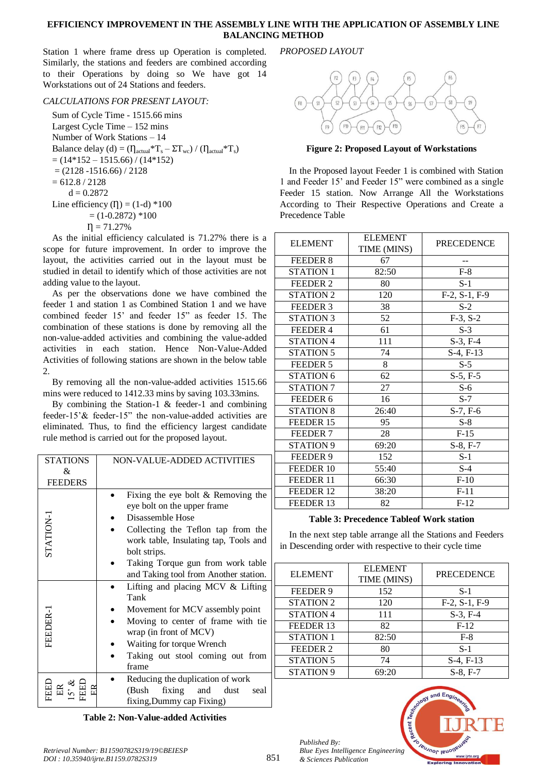#### **EFFICIENCY IMPROVEMENT IN THE ASSEMBLY LINE WITH THE APPLICATION OF ASSEMBLY LINE BALANCING METHOD**

Station 1 where frame dress up Operation is completed. Similarly, the stations and feeders are combined according to their Operations by doing so We have got 14 Workstations out of 24 Stations and feeders.

## *CALCULATIONS FOR PRESENT LAYOUT:*

Sum of Cycle Time - 1515.66 mins Largest Cycle Time – 152 mins Number of Work Stations – 14 Balance delay (d) =  $(\eta_{actual} * T_s - \Sigma T_{wc}) / (\eta_{actual} * T_s)$  $= (14*152 - 1515.66)/(14*152)$  $= (2128 - 1516.66) / 2128$  $= 612.8 / 2128$  $d = 0.2872$ Line efficiency ( $I$ ) = (1-d) \*100  $= (1 - 0.2872) *100$  $n = 71.27%$ 

As the initial efficiency calculated is 71.27% there is a scope for future improvement. In order to improve the layout, the activities carried out in the layout must be studied in detail to identify which of those activities are not adding value to the layout.

As per the observations done we have combined the feeder 1 and station 1 as Combined Station 1 and we have combined feeder 15' and feeder 15" as feeder 15. The combination of these stations is done by removing all the non-value-added activities and combining the value-added activities in each station. Hence Non-Value-Added Activities of following stations are shown in the below table  $\mathcal{L}$ 

By removing all the non-value-added activities 1515.66 mins were reduced to 1412.33 mins by saving 103.33mins.

By combining the Station-1 & feeder-1 and combining feeder-15'& feeder-15" the non-value-added activities are eliminated. Thus, to find the efficiency largest candidate rule method is carried out for the proposed layout.

| <b>STATIONS</b>      | NON-VALUE-ADDED ACTIVITIES                                                                                                                                                                                                                                           |  |  |
|----------------------|----------------------------------------------------------------------------------------------------------------------------------------------------------------------------------------------------------------------------------------------------------------------|--|--|
| &.<br><b>FEEDERS</b> |                                                                                                                                                                                                                                                                      |  |  |
| STATION-1            | Fixing the eye bolt $&$ Removing the<br>eye bolt on the upper frame<br>Disassemble Hose<br>Collecting the Teflon tap from the<br>work table, Insulating tap, Tools and<br>bolt strips.<br>Taking Torque gun from work table<br>and Taking tool from Another station. |  |  |
| FEEDER-              | Lifting and placing MCV & Lifting<br>Tank<br>Movement for MCV assembly point<br>Moving to center of frame with tie<br>wrap (in front of MCV)<br>Waiting for torque Wrench<br>Taking out stool coming out from<br>frame                                               |  |  |
|                      | Reducing the duplication of work<br>(Bush)<br>fixing<br>and<br>dust<br>seal<br>fixing, Dummy cap Fixing)                                                                                                                                                             |  |  |

**Table 2: Non-Value-added Activities**

*PROPOSED LAYOUT*



**Figure 2: Proposed Layout of Workstations**

In the Proposed layout Feeder 1 is combined with Station 1 and Feeder 15' and Feeder 15" were combined as a single Feeder 15 station. Now Arrange All the Workstations According to Their Respective Operations and Create a Precedence Table

| <b>ELEMENT</b>       | <b>ELEMENT</b><br>TIME (MINS) | <b>PRECEDENCE</b> |
|----------------------|-------------------------------|-------------------|
| FEEDER 8             | 67                            |                   |
| <b>STATION 1</b>     | 82:50                         | $F-8$             |
| FEEDER 2             | 80                            | $S-1$             |
| <b>STATION 2</b>     | 120                           | $F-2, S-1, F-9$   |
| FEEDER 3             | 38                            | $S-2$             |
| <b>STATION 3</b>     | 52                            | $F-3, S-2$        |
| FEEDER 4             | 61                            | $S-3$             |
| <b>STATION 4</b>     | 111                           | $S-3, F-4$        |
| <b>STATION 5</b>     | 74                            | $S-4, F-13$       |
| FEEDER 5             | 8                             | $S-5$             |
| <b>STATION 6</b>     | 62                            | $S-5, F-5$        |
| STATION <sub>7</sub> | 27                            | $S-6$             |
| FEEDER 6             | 16                            | $S-7$             |
| <b>STATION 8</b>     | 26:40                         | $S-7, F-6$        |
| FEEDER 15            | 95                            | $S-8$             |
| FEEDER <sub>7</sub>  | 28                            | $F-15$            |
| STATION <sub>9</sub> | 69:20                         | $S-8, F-7$        |
| FEEDER 9             | 152                           | $S-1$             |
| FEEDER 10            | 55:40                         | $S-4$             |
| FEEDER 11            | 66:30                         | $F-10$            |
| FEEDER 12            | 38:20                         | $F-11$            |
| FEEDER 13            | 82                            | $F-12$            |

## **Table 3: Precedence Tableof Work station**

In the next step table arrange all the Stations and Feeders in Descending order with respective to their cycle time

| <b>ELEMENT</b>       | <b>ELEMENT</b><br>TIME (MINS) | <b>PRECEDENCE</b> |
|----------------------|-------------------------------|-------------------|
| FEEDER 9             | 152                           | $S-1$             |
| <b>STATION 2</b>     | 120                           | $F-2, S-1, F-9$   |
| <b>STATION 4</b>     | 111                           | $S-3, F-4$        |
| FEEDER 13            | 82                            | $F-12$            |
| <b>STATION 1</b>     | 82:50                         | $F-8$             |
| FEEDER 2             | 80                            | $S-1$             |
| <b>STATION 5</b>     | 74                            | $S-4, F-13$       |
| STATION <sub>9</sub> | 69:20                         | $S-8, F-7$        |



*Published By:*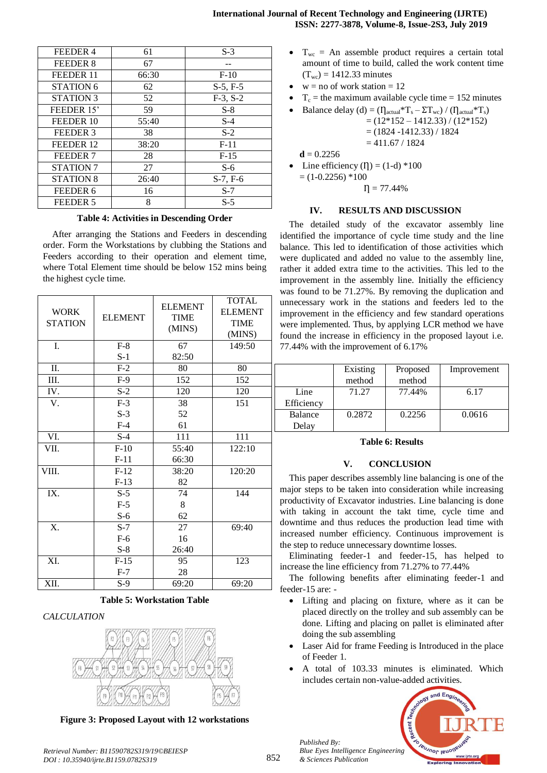| <b>International Journal of Recent Technology and Engineering (IJRTE)</b> |  |
|---------------------------------------------------------------------------|--|
| ISSN: 2277-3878, Volume-8, Issue-2S3, July 2019                           |  |

| FEEDER 4             | 61    | $S-3$      |
|----------------------|-------|------------|
| FEEDER 8             | 67    |            |
| FEEDER 11            | 66:30 | $F-10$     |
| <b>STATION 6</b>     | 62    | $S-5, F-5$ |
| STATION 3            | 52    | $F-3, S-2$ |
| FEEDER 15'           | 59    | $S-8$      |
| FEEDER 10            | 55:40 | $S-4$      |
| FEEDER 3             | 38    | $S-2$      |
| FEEDER 12            | 38:20 | $F-11$     |
| FEEDER 7             | 28    | $F-15$     |
| STATION <sub>7</sub> | 27    | $S-6$      |
| <b>STATION 8</b>     | 26:40 | $S-7, F-6$ |
| FEEDER 6             | 16    | $S-7$      |
| FEEDER 5             | 8     | $S-5$      |

#### **Table 4: Activities in Descending Order**

After arranging the Stations and Feeders in descending order. Form the Workstations by clubbing the Stations and Feeders according to their operation and element time, where Total Element time should be below 152 mins being the highest cycle time.

| <b>WORK</b><br><b>STATION</b><br>I. | <b>ELEMENT</b><br>$F-8$ | <b>ELEMENT</b><br><b>TIME</b><br>(MINS)<br>67 | <b>TOTAL</b><br><b>ELEMENT</b><br><b>TIME</b><br>(MINS)<br>149:50 |
|-------------------------------------|-------------------------|-----------------------------------------------|-------------------------------------------------------------------|
|                                     | $S-1$                   | 82:50                                         |                                                                   |
| $\Pi$ .                             | $F-2$                   | 80                                            | 80                                                                |
| Ш.                                  | $F-9$                   | 152                                           | 152                                                               |
| IV.                                 | $S-2$                   | 120                                           | 120                                                               |
| V.                                  | $F-3$                   | 38                                            | 151                                                               |
|                                     | $S-3$                   | 52                                            |                                                                   |
|                                     | $F-4$                   | 61                                            |                                                                   |
| VI.                                 | $S-4$                   | 111                                           | 111                                                               |
| VII.                                | $F-10$                  | 55:40                                         | 122:10                                                            |
|                                     | $F-11$                  | 66:30                                         |                                                                   |
| VIII.                               | $F-12$                  | 38:20                                         | 120:20                                                            |
|                                     | $F-13$                  | 82                                            |                                                                   |
| IX.                                 | $S-5$                   | 74                                            | 144                                                               |
|                                     | $F-5$                   | 8                                             |                                                                   |
|                                     | $S-6$                   | 62                                            |                                                                   |
| X.                                  | $S-7$                   | 27                                            | 69:40                                                             |
|                                     | $F-6$                   | 16                                            |                                                                   |
|                                     | $S-8$                   | 26:40                                         |                                                                   |
| XI.                                 | $F-15$                  | 95                                            | 123                                                               |
|                                     | $F-7$                   | 28                                            |                                                                   |
| XII.                                | $S-9$                   | 69:20                                         | 69:20                                                             |

**Table 5: Workstation Table**

#### *CALCULATION*



**Figure 3: Proposed Layout with 12 workstations**

- $w = no$  of work station  $= 12$
- $T_c$  = the maximum available cycle time = 152 minutes

• Balance delay (d) = 
$$
(I_{actual} * T_s - \Sigma T_{wc}) / (I_{actual} * T_s)
$$
  
=  $(12 * 152 - 1412.33) / (12 * 152)$ 

$$
= (12.132 - 1412.33) / (12)
$$
  
= (1824 - 1412.33) / 1824

$$
= 411.67 / 1824
$$

 $d = 0.2256$ 

Line efficiency  $(I) = (1-d) *100$ 

 $= (1 - 0.2256) * 100$  $n = 77.44%$ 

#### **IV. RESULTS AND DISCUSSION**

The detailed study of the excavator assembly line identified the importance of cycle time study and the line balance. This led to identification of those activities which were duplicated and added no value to the assembly line, rather it added extra time to the activities. This led to the improvement in the assembly line. Initially the efficiency was found to be 71.27%. By removing the duplication and unnecessary work in the stations and feeders led to the improvement in the efficiency and few standard operations were implemented. Thus, by applying LCR method we have found the increase in efficiency in the proposed layout i.e. 77.44% with the improvement of 6.17%

|                    | Existing<br>method | Proposed<br>method | Improvement |
|--------------------|--------------------|--------------------|-------------|
| Line<br>Efficiency | 71.27              | 77.44%             | 6.17        |
| Balance<br>Delay   | 0.2872             | 0.2256             | 0.0616      |

## **Table 6: Results**

#### **V. CONCLUSION**

This paper describes assembly line balancing is one of the major steps to be taken into consideration while increasing productivity of Excavator industries. Line balancing is done with taking in account the takt time, cycle time and downtime and thus reduces the production lead time with increased number efficiency. Continuous improvement is the step to reduce unnecessary downtime losses.

Eliminating feeder-1 and feeder-15, has helped to increase the line efficiency from 71.27% to 77.44%

The following benefits after eliminating feeder-1 and feeder-15 are: -

- Lifting and placing on fixture, where as it can be placed directly on the trolley and sub assembly can be done. Lifting and placing on pallet is eliminated after doing the sub assembling
- Laser Aid for frame Feeding is Introduced in the place of Feeder 1.
- A total of 103.33 minutes is eliminated. Which includes certain non-value-added activities.



*Published By:*